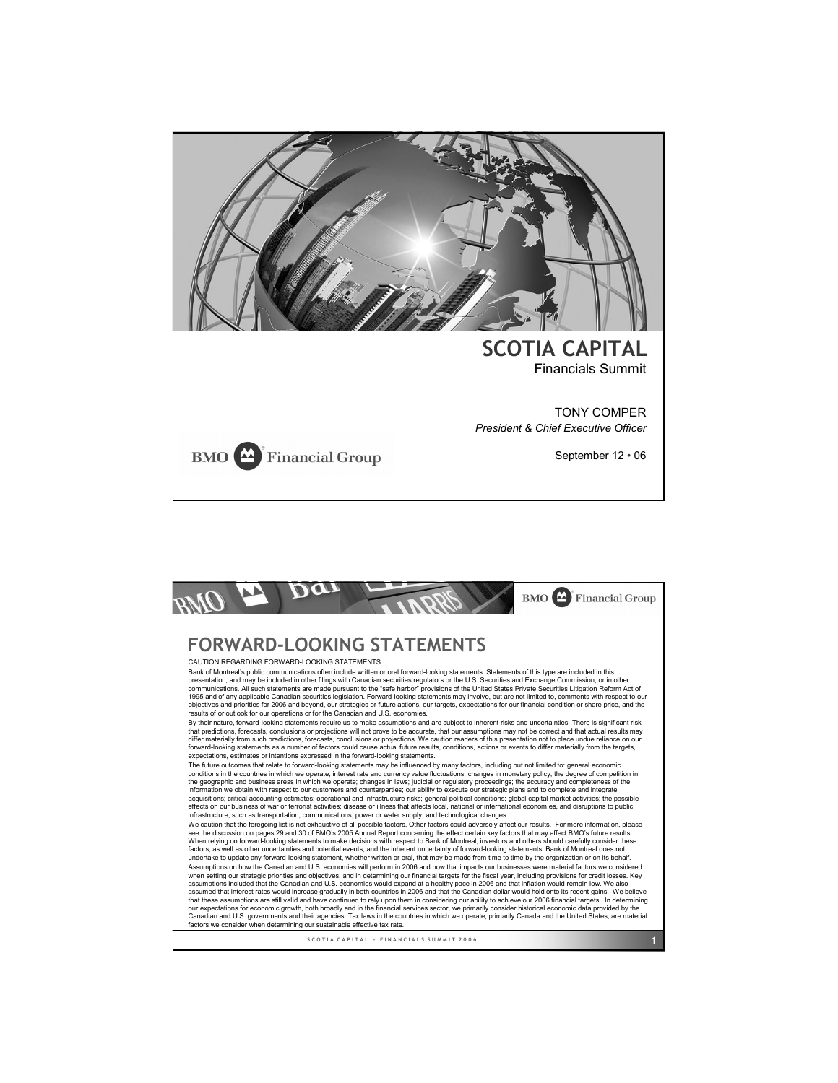

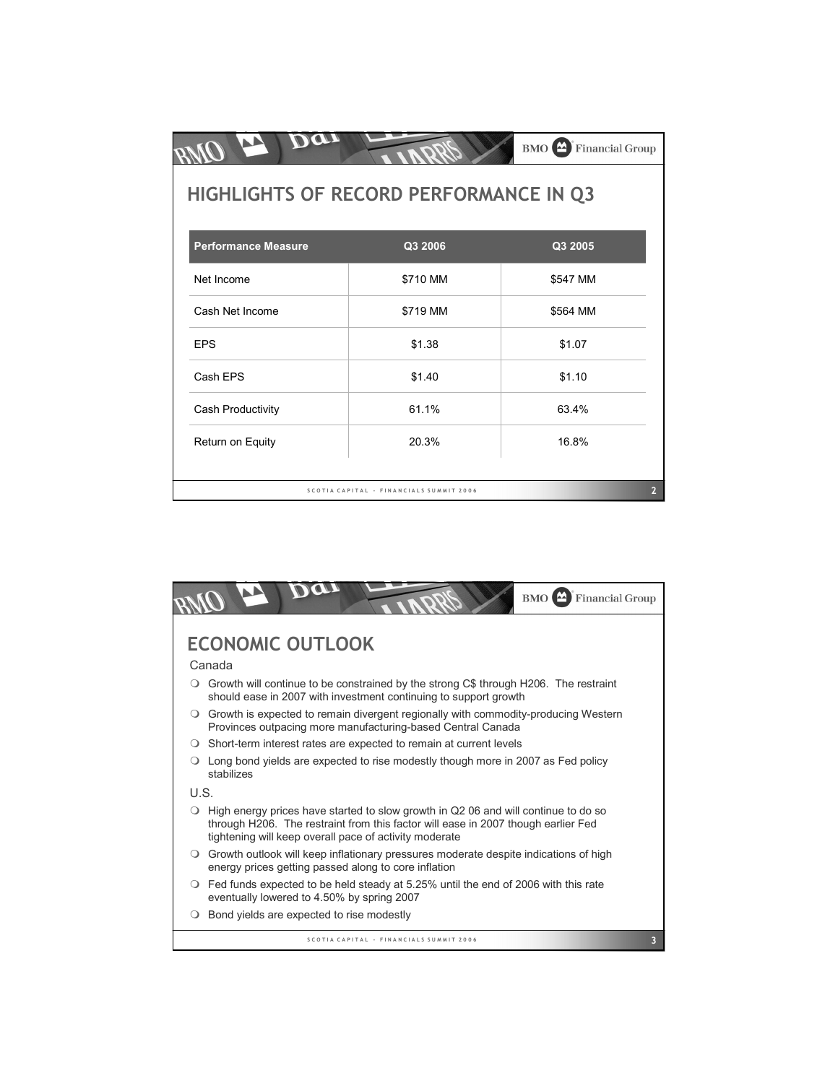|                                        |                                         | <b>BMO</b> Financial Group |
|----------------------------------------|-----------------------------------------|----------------------------|
| HIGHLIGHTS OF RECORD PERFORMANCE IN Q3 |                                         |                            |
| <b>Performance Measure</b>             | Q3 2006                                 | Q3 2005                    |
| Net Income                             | \$710 MM                                | \$547 MM                   |
| Cash Net Income                        | \$719 MM                                | \$564 MM                   |
| <b>EPS</b>                             | \$1.38                                  | \$1.07                     |
| Cash EPS                               | \$1.40                                  | \$1.10                     |
| Cash Productivity                      | 61.1%                                   | 63.4%                      |
| Return on Equity                       | 20.3%                                   | 16.8%                      |
|                                        |                                         |                            |
|                                        | SCOTIA CAPITAL - FINANCIALS SUMMIT 2006 | 2                          |

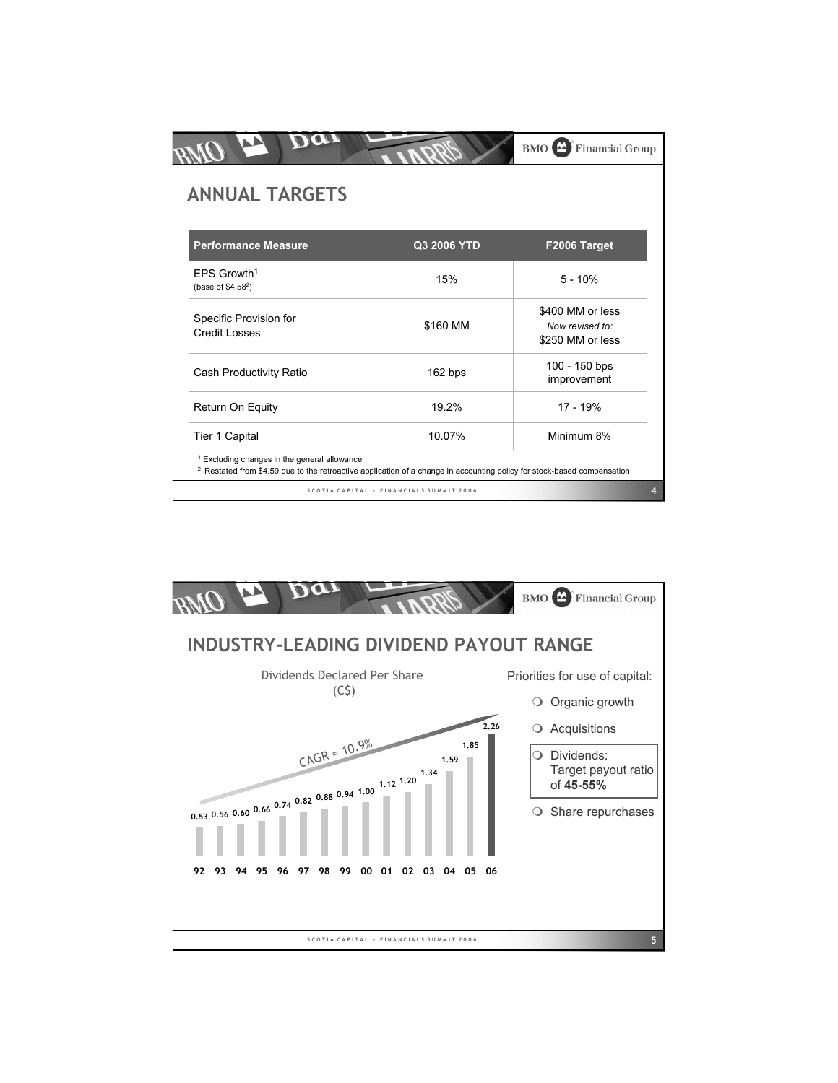| <b>Performance Measure</b>                      | Q3 2006 YTD | F2006 Target                                            |
|-------------------------------------------------|-------------|---------------------------------------------------------|
| EPS Growth <sup>1</sup><br>(base of $$4.58^2$ ) | 15%         | $5 - 10%$                                               |
| Specific Provision for<br><b>Credit Losses</b>  | \$160 MM    | \$400 MM or less<br>Now revised to:<br>\$250 MM or less |
| Cash Productivity Ratio                         | 162 bps     | 100 - 150 bps<br>improvement                            |
| Return On Equity                                | 19.2%       | 17 - 19%                                                |
|                                                 | 10.07%      | Minimum 8%                                              |

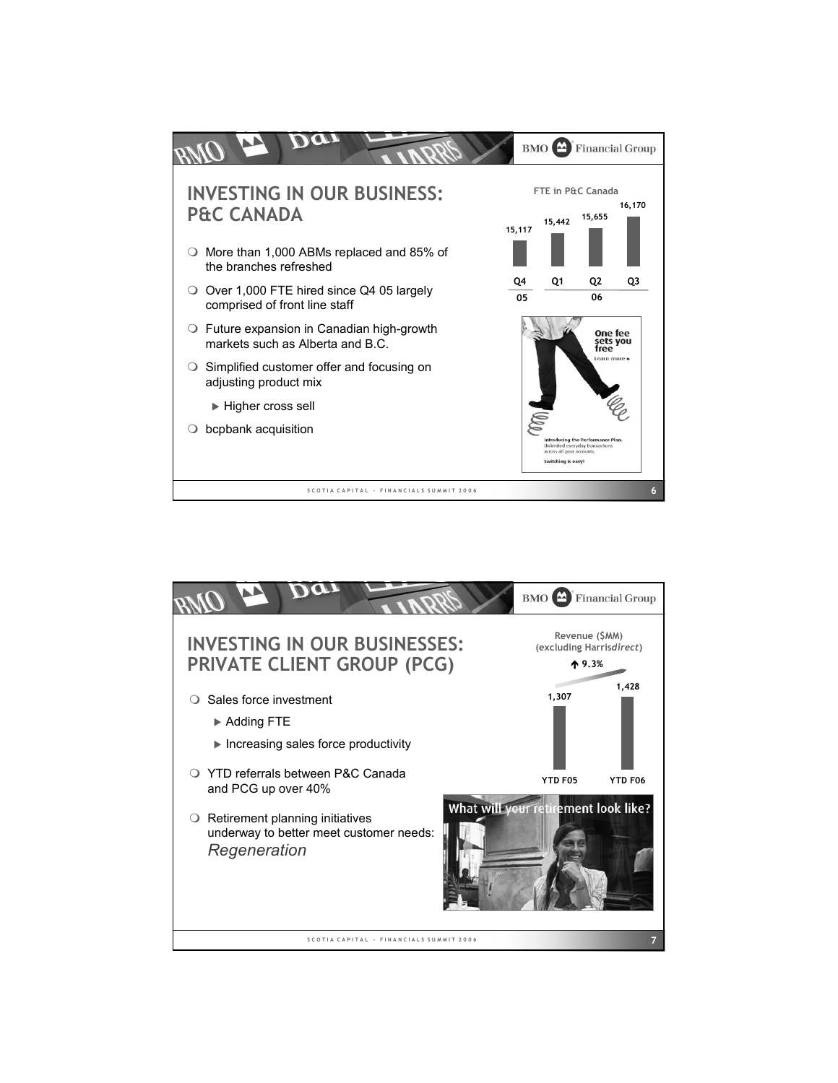

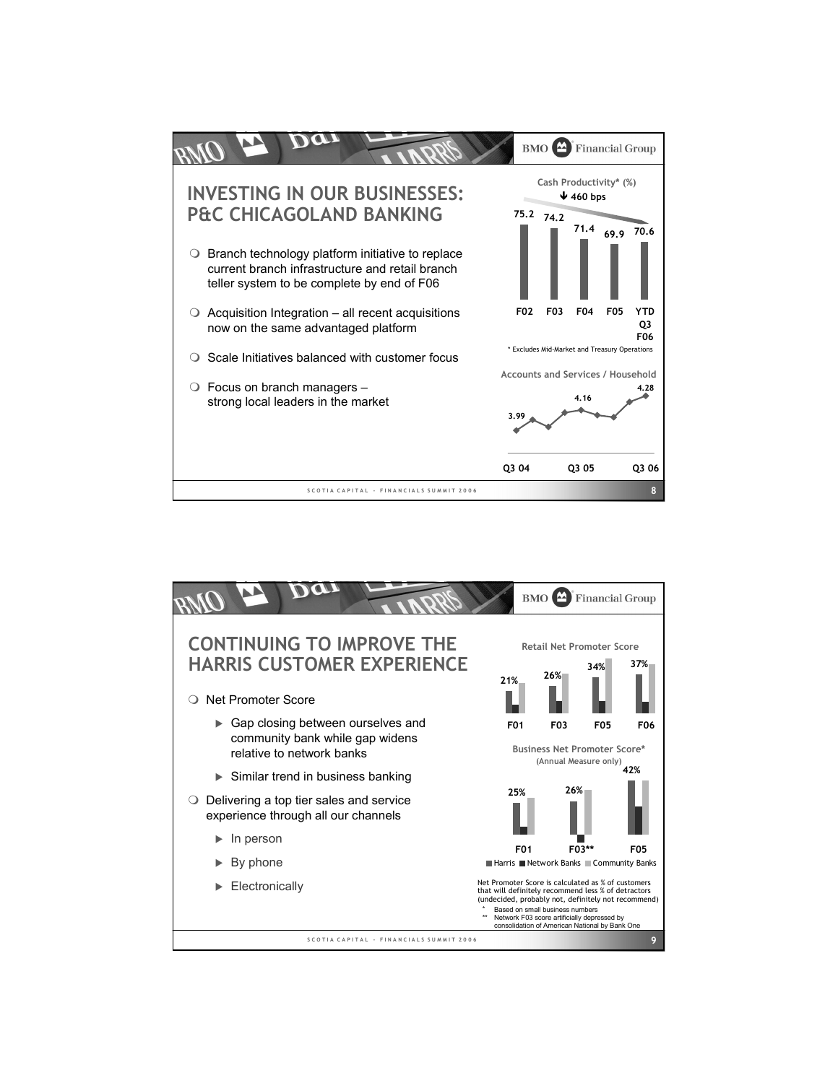

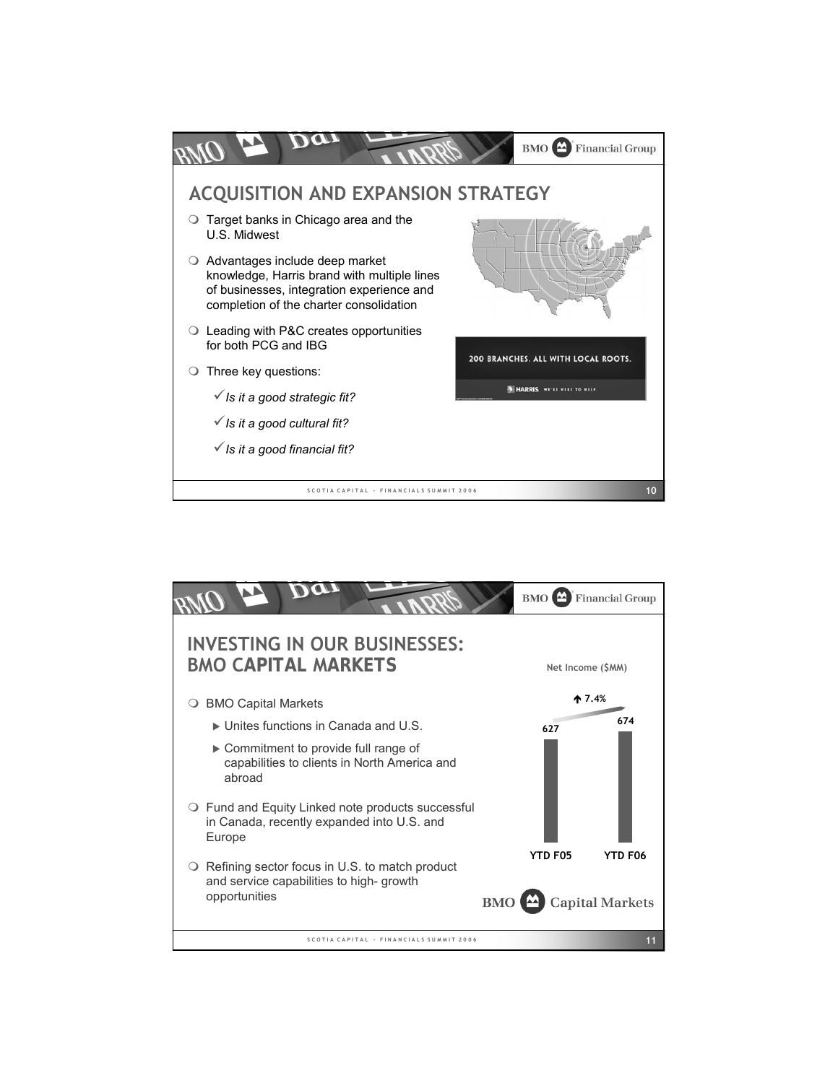

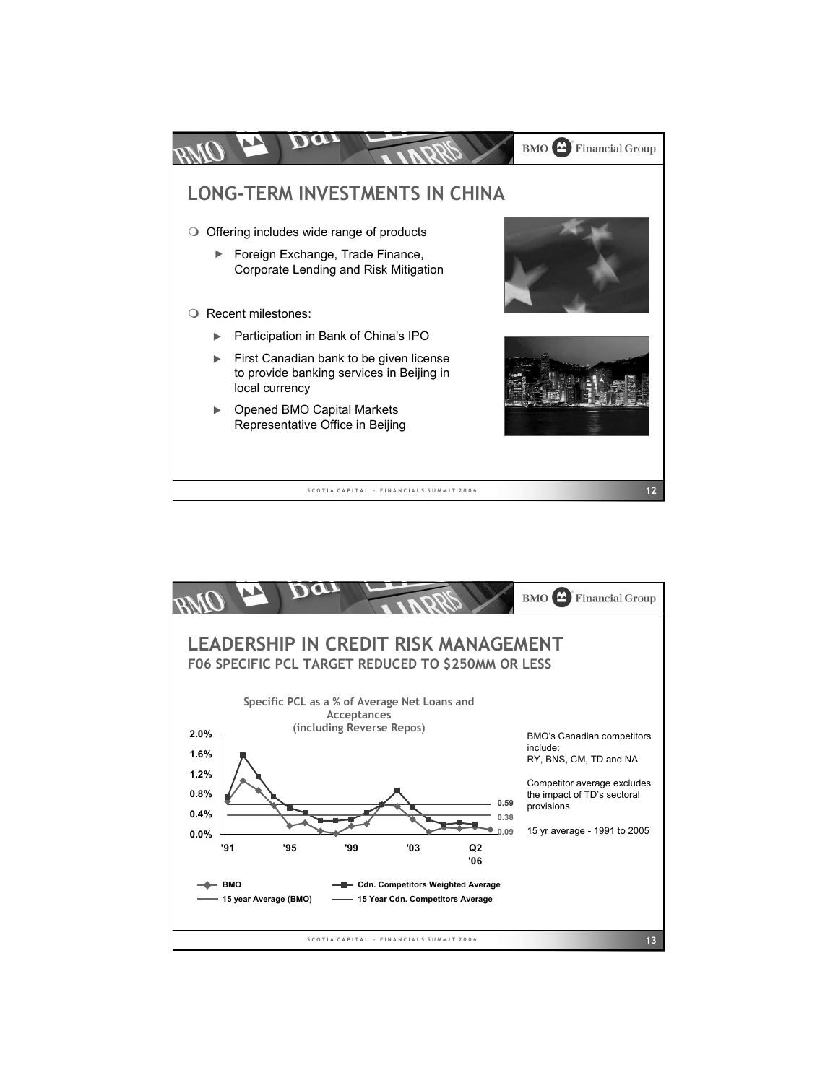

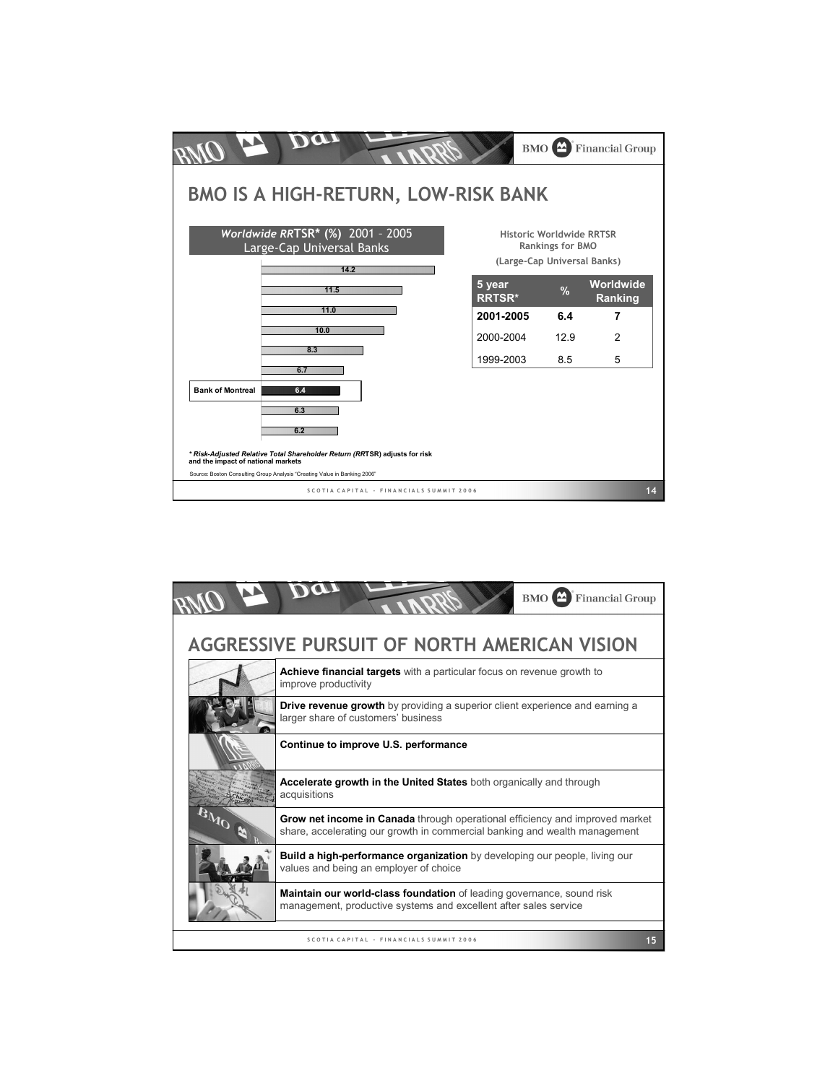

|     | <b>BMO</b> Financial Group                                                                                                                                        |
|-----|-------------------------------------------------------------------------------------------------------------------------------------------------------------------|
|     | AGGRESSIVE PURSUIT OF NORTH AMERICAN VISION                                                                                                                       |
|     | Achieve financial targets with a particular focus on revenue growth to<br>improve productivity                                                                    |
|     | <b>Drive revenue growth</b> by providing a superior client experience and earning a<br>larger share of customers' business                                        |
|     | Continue to improve U.S. performance                                                                                                                              |
|     | Accelerate growth in the United States both organically and through<br>acquisitions                                                                               |
| BMG | <b>Grow net income in Canada</b> through operational efficiency and improved market<br>share, accelerating our growth in commercial banking and wealth management |
|     | Build a high-performance organization by developing our people, living our<br>values and being an employer of choice                                              |
|     | <b>Maintain our world-class foundation</b> of leading governance, sound risk<br>management, productive systems and excellent after sales service                  |
|     | SCOTIA CAPITAL - FINANCIALS SUMMIT 2006<br>15                                                                                                                     |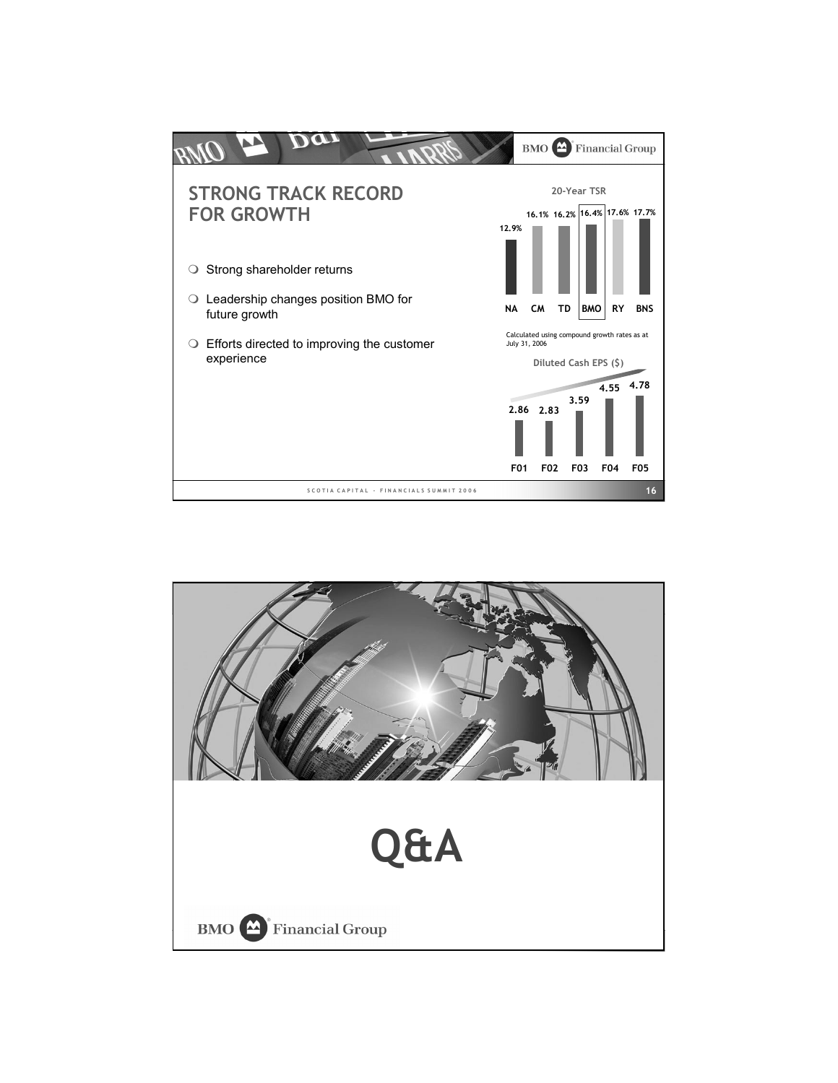